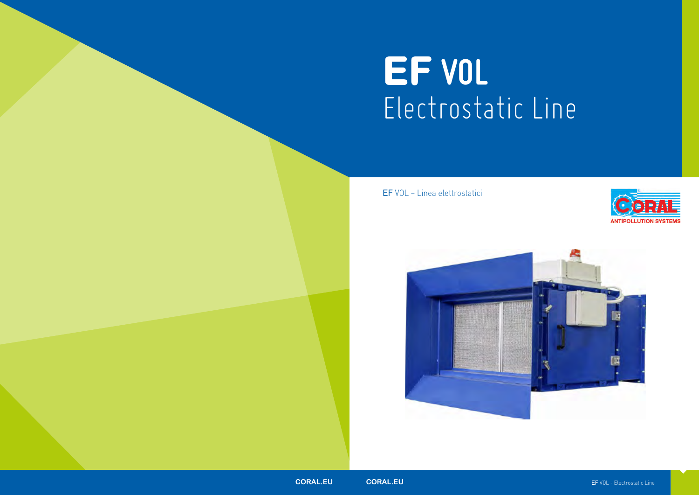# **EF VOL** Electrostatic Line





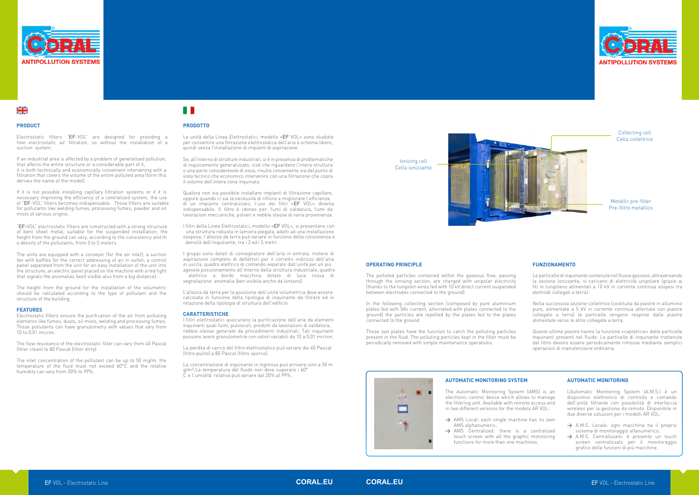

### N<br>X<br>X



#### **.**

Electrostatic filters "EF-VOL" are designed for providing a free electrostatic air filtration, so without the installation of a suction system.

If an industrial area is affected by a problem of generalised pollution. that affects the entire structure or a considerable part of it, it is both technically and economically convenient intervening with a filtration that covers the volume of the entire polluted area (form this derives the name of the model).

If it is not possible installing capillary filtration systems or if it is necessary improving the efficiency of a centralized system, the use of "EF-VOL" filters becomes indispensable. Those filters are suitable for pollutants like welding fumes, processing fumes, powder and oil mists of various origins.

"EF-VOL" electrostatic filters are constructed with a strong structure of bent sheet metal, suitable for the suspended installation; the height from the ground can vary, according to the consistency and th e density of the pollutants, from 3 to 5 meters.

The units are equipped with a convevor (for the air inlet); a suction fan with baffles for the correct addressing of air in outlet; a control panel separated from the unit for an easy installation of the unit into the structure; an electric panel placed on the machine with a red light that signals the anomalies (well visible also from a big distance).

The height from the ground for the installation of the volumetric should be calculated according to the type of pollutant and the structure of the building.

#### **FEATURES**

Electrostatic filters ensure the purification of the air from polluting elements like fumes, dusts, oil mists, welding and processing fumes. Those pollutants can have granulometry with values that vary from 10 to 0,01 micron.

The flow resistance of the electrostatic filter can vary from 40 Pascal (filter clean) to 80 Pascal (filter dirty).

The inlet concentration of the pollutant can be up to 50 mg/m. the temperature of the fluid must not exceed 60°C and the relative humidity can vary from 20% to 99%.

## H R

#### **PRODOTTO**

Le unità della Linea Elettrostatici, modello «EF VOL» sono studiate ner consentire una filtrazione elettrostatica dell'aria a schema libero quindi senza l'installazione di impianti di aspirazione.

#### **OPERATING PRINCIPLE**

The polluted particles contained within the gaseous flow, passing through the ionising section, are charged with unipolar electricity (thanks to the tungsten wires fed with 10 kV direct current suspended between electrodes connected to the ground).

In the following collecting section (composed by pure aluminium plates fed with 5Kv current, alternated with plates connected to the ground) the particles are repelled by the plates fed to the plates connected to the ground.

> $\rightarrow$  AMS Local: each single machine has its own AMS alphanumeric;

 $\rightarrow$  AMS Centralized: there is a centralized touch screen with all the graphic monitoring functions for more than one machines.

L'Automatic Monitoring System (A.M.S.) è un dispositivo elettronico di controllo e comando dell'unità filtrante con possibilità di interfaccia wireless per la gestione da remoto. Disponibile in due diverse soluzioni per i modelli AR VOL:

Those last plates have the function to catch the polluting particles present in the fluid. The polluting particles kept in the filter must be periodically removed with simple maintenance operations.

 $\bullet$ 

**Leisen** Ė

> $\rightarrow$  A.M.S. Locale: ogni macchina ha il proprio sistema di monitoraggio alfanumerico;

> > A.M.S. Centralizzato: è presente un touch screen centralizzato per il monitoraggio grafico delle funzioni di più macchine.

Se, all'interno di strutture industriali, si è in presenza di problematiche di inquinamento generalizzato, cioè che riguardano l'intera struttura o una parte considerevole di essa, risulta conveniente sia dal punto di vista tecnico che economico intervenire con una filtrazione che copra il volume dell'intera zona inquinata.

Qualora non sia possibile installare impianti di filtrazione capillare,<br>conure quando ci sia la necessità di rifinire e migliorare l'efficienza di un impianto centralizzato, l'uso dei filtri «EF VOL» diventa indispensabile. Il filtro è idoneo per: fumi di saldatura, fumi da lavorazioni meccaniche, polveri e nebbie oleose di varia provenienza.

I filtri della Linea Elettrostatici, modello «EF VOL», si presentano con sospesa; l'altezza da terra può variare in funzione della consistenza e densità dell'inquinante, tra i 3 ed i 5 metri.

I gruppi sono dotati di convogliatore dell'aria in entrata, motore di aspirazione completo di deflettori per il corretto indirizzo dell'aria in uscita, quadro elettrico di comando separato dall'unità per un più agevole posizionamento all'interno della struttura industriale, quadro <sup>-</sup>elettrico a bordo macchina dotato di luce rossa di segnalazione anomalia (ben visibile anche da lontano).

L'altezza da terra per la posizione dell'unità volumetrica deve essere calcolata in funzione della tipologia di inquinante da filtrare ed in relazione della tipologia di struttura dell'edificio.

#### **CARATTERISTICHE**

I filtri elettrostatici assicurano la purificazione dell'aria da elementi inguinanti quali fumi, pulviscoli, prodotti da lavorazioni di saldatura. nebbie oleose generate da procedimenti industriali. Tali inquinanti possono avere granulometrie con valori variabili da 10 a 0,01 micron.

La perdita di carico del filtro elettrostatico può variare dai 40 Pascal (filtro pulito) a 80 Pascal (filtro sporco).

La concentrazione di inquinante in ingresso può arrivare sino a 50 m g/m<sup>3</sup>. La temperatura del fluido non deve superare i 60° Č e l'umidità relativa può variare dal 20% al 99%.

#### **FUNZIONAMENTO**

Le particelle di inquinante contenutenelflusso gassoso, attraversando la sezione ionizzante, si caricano di elettricità unipolare (grazie ai fili in tungsteno alimentati a 10 kV in corrente continua sospesi tra elettrodi collegati a terra).

Nella successiva sezione collettrice (costituita da piastre in alluminio puro, alimentate a 5 kV in corrente continua alternate con piastre collegate a terra) le particelle vengono respinte dalle piastre alimentate verso le altre collegate a terra.

Queste ultime piastre hanno la funzione «captatrice» delle particelle inquinanti presenti nel fluido. Le particelle di inquinante trattenute dal filtro devono essere periodicamente rimosse mediante semplici operazioni di manutenzione ordinaria.

#### **AUTOMATIC MONITORING SYSTEM**

The Automatic Monitoring System (AMS) is an electronic control device which allows to manage the filtering unit. Available with remote access and in two different versions for the models AR VOL:

#### **AUTOMATIC MONITORING**



Ionizing cell Cella ionizzante